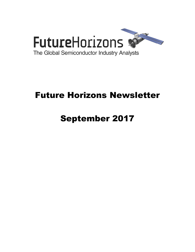

# Future Horizons Newsletter

# September 2017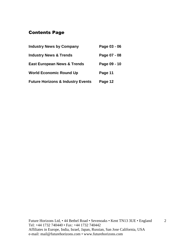## Contents Page

| <b>Industry News by Company</b>              | Page 03 - 06 |
|----------------------------------------------|--------------|
| <b>Industry News &amp; Trends</b>            | Page 07 - 08 |
| <b>East European News &amp; Trends</b>       | Page 09 - 10 |
| <b>World Economic Round Up</b>               | Page 11      |
| <b>Future Horizons &amp; Industry Events</b> | Page 12      |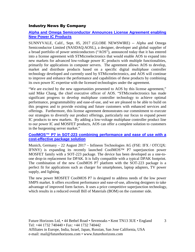#### Industry News By Company

#### **Alpha and Omega Semiconductor Announces License Agreement enabling New Power IC Products**

SUNNYVALE, Calif., Sept. 05, 2017 (GLOBE NEWSWIRE) -- Alpha and Omega Semiconductor Limited (NASDAQ:AOSL), a designer, developer and global supplier of a broad portfolio of power semiconductors ("AOS"), announced today that it has entered into a license agreement with STMicroelectronics that would enable AOS to expand into new markets for advanced low-voltage power IC products with multiple functionalities, primarily for applications in computer servers. The agreement allows AOS to develop, market and distribute products based on a specific digital multiphase controller technology developed and currently used by STMicroelectronics, and AOS will continue to improve and enhance the performance and capabilities of these products by combining its own power IC expertise with the licensed technologies under the agreement.

"We are excited by the new opportunities presented to AOS by this license agreement," said Mike Chang, the chief executive officer of AOS. "STMicroelectronics has made significant progress to develop multiphase controller technology to achieve optimal performance, programmability and ease-of-use, and we are pleased to be able to build on this progress and to provide existing and future customers with enhanced services and offerings. Furthermore, this license agreement demonstrates our commitment to execute our strategies to diversify our product offerings, particularly our focus to expand power IC products to new markets. By adding a low-voltage multiphase controller product line to our power IC and MOSFET products, AOS can offer a complete solution to customers in the burgeoning server market."

#### **CoolMOS™ P7 in SOT-223 combining performance and ease of use with a cost-effective package solution**

Munich, Germany – 22 August 2017 – Infineon Technologies AG (FSE: IFX / OTCQX: IFNNY) is expanding its recently launched CoolMOS™ P7 superjunction power MOSFET family with a SOT-223 package. The device has been developed as a one-toone drop-in replacement for DPAK. It is fully compatible with a typical DPAK footprint. The combination of the new CoolMOS P7 platform with the SOT-223 package is a perfect fit for applications such as charger for smartphones, laptop adapters, TV power supply, and lighting.

The new power MOSFET CoolMOS P7 is designed to address needs of the low power SMPS market. It offers excellent performance and ease-of-use, allowing designers to take advantage of improved form factors. It uses a price competitive superjunction technology, which results in a reduced overall Bill of Materials (BOM) on the customer side.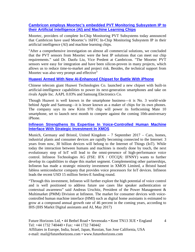#### **Cambricon employs Moortec's embedded PVT Monitoring Subsystem IP to their Artificial Intelligence (AI) and Machine Learning Chips**

Moortec, providers of complete In-Chip Monitoring PVT Subsystems today announced that Cambricon have used Moortec's 16FFC In-Chip Monitoring Subsystem IP in their artificial intelligence (AI) and machine learning chips.

"After a comprehensive investigation on almost all commercial solutions, we concluded that the PVT sensors from Moortec were the best IP solutions that can meet our chip requirements." said Dr. Daofu Liu, Vice Predent at Cambricon. "The Moortec PVT sensors were easy for integration and have been silicon-proven in many projects, which allows us to reduce time-to-market and project risk. Besides, the technical support from Moortec was also very prompt and effective"

#### **Huawei Armed With New AI-Enhanced Chipset for Battle With iPhone**

Chinese telecom giant Huawei Technologies Co. launched a new chipset with built-in artificial-intelligence capabilities to power its next-generation smartphones and take on rivals Apple Inc. AAPL 0.03% and Samsung Electronics Co.

Though Huawei is well known in the smartphone business—it is No. 3 world-wide behind Apple and Samsung—it is lesser known as a maker of chips for its own phones. The company says its new Kirin 970 chip will power its forthcoming Mate 10 smartphone, set to launch next month to compete against the coming 10th-anniversary iPhone.

#### **Infineon Strengthens Its Expertise In Voice-Controlled Human Machine Interface With Strategic Investment In XMOS**

Munich, Germany and Bristol, United Kingdom – 7 September 2017 – Cars, homes, industrial plants and consumer devices are rapidly becoming connected to the Internet: 3 years from now, 30 billion devices will belong to the Internet of Things (IoT). While today the interaction between humans and machines is mostly done by touch, the next evolutionary step of IoT will lead to the omni-presence of high-performance voice control. Infineon Technologies AG (FSE: IFX / OTCQX: IFNNY) wants to further develop its capabilities to shape this market segment. Complementing other partnerships, Infineon has made a strategic minority investment in XMOS Limited, a Bristol based fabless semiconductor company that provides voice processors for IoT devices. Infineon leads the recent USD 15 million Series-E funding round.

"Through this investment, Infineon will further explore the high potential of voice control and is well positioned to address future use cases like speaker authentication or contextual awareness" said Andreas Urschitz, President of the Power Management & Multimarket (PMM) Division at Infineon. The market for consumer devices with voicecontrolled human machine interface (HMI) such as digital home assistants is estimated to grow at a compound annual growth rate of 46 percent in the coming years, according to IHS (IHS Markit Digital assistants and AI, May 2017)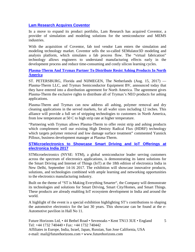#### **Lam Research Acquires Coventor**

In a move to expand its product portfolio, Lam Research has acquired Coventor, a provider of simulation and modeling solutions for the semiconductor and MEMS industries.

With the acquisition of Coventor, fab tool vendor Lam enters the simulation and modeling technology market. Coventor sells the so-called SEMulator3D modeling and analysis platform, which simulates a fab process flow. The "virtual fabrication" technology allows engineers to understand manufacturing effects early in the development process and reduce time-consuming and costly silicon learning cycles.

#### **Plasma-Therm And Trymax Partner To Distribute Resist Ashing Products In North America**

ST. PETERSBURG, Florida and NIJMEGEN, The Netherlands (Aug. 15, 2017) — Plasma-Therm LLC, and Trymax Semiconductor Equipment BV, announced today that they have entered into a distribution agreement for North America. The agreement gives Plasma-Therm the exclusive rights to distribute all of Trymax's NEO products for ashing applications.

Plasma-Therm and Trymax can now address all ashing, polymer removal and dry cleaning applications in the served markets, for all wafer sizes including 12 inches. This alliance will provide a full set of stripping technologies to customers in North America, from low temperature at 50 C to high strip rate at higher temperature.

"Partnering with Trymax allows Plasma-Therm to offer resist strip and ashing products which complement well our existing High Denisty Radical Flux (HDRF) technology which targets polymer removal and low damage surface treatment" commented Yannick Pilloux, business development manager at Plasma-Therm.

#### **STMicroelectronics to Showcase Smart Driving and IoT Offerings at electronica India 2017**

STMicroelectronics (NYSE: STM), a global semiconductor leader serving customers across the spectrum of electronics applications, is demonstrating its latest solutions for the Smart Driving and Internet of Things (IoT) at the 18th edition of electronica India in New Delhi, September 14-16 2017. The exhibition will showcase innovative products, solutions, and technologies combined with ample learning and networking opportunities to the electronics manufacturing industry.

Built on the theme of "ST is Making Everything Smarter", the Company will demonstrate its technologies and solutions for Smart Driving, Smart City/Homes, and Smart Things. These products are already enabling IoT ecosystem development in India and around the world.

A highlight of the event is a special exhibition highlighting ST's contributions to shaping the automotive electronics for the last 30 years. This showcase can be found at the e-Automotive pavilion in Hall No 11.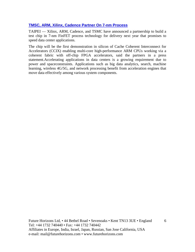#### **TMSC, ARM, Xilinx, Cadence Partner On 7-nm Process**

TAIPEI — Xilinx, ARM, Cadence, and TSMC have announced a partnership to build a test chip in 7-nm FinFET process technology for delivery next year that promises to speed data center applications.

The chip will be the first demonstration in silicon of Cache Coherent Interconnect for Accelerators (CCIX) enabling multi-core high-performance ARM CPUs working via a coherent fabric with off-chip FPGA accelerators, said the partners in a press statement.Accelerating applications in data centers is a growing requirement due to power and spaceconstraints. Applications such as big data analytics, search, machine learning, wireless 4G/5G, and network processing benefit from acceleration engines that move data effectively among various system components.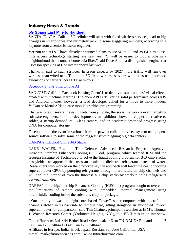#### Industry News & Trends

#### **5G Spans Last Mile to Handset**

SANTA CLARA, Calif. – 5G cellular will start with fixed-wireless services, lead to big changes in smartphones and ultimately rack up some staggering numbers, according to a keynote from a senior Ericsson engineer.

Verizon and AT&T have already announced plans to use 5G at 28 and 39 GHz as a lastmile access technology starting late next year. "It will be easier to plop a pole in a neighborhood than connect homes via fiber," said Dave Allen, a distinguished engineer at Ericsson speaking at Hot Interconnects last week.

Thanks in part to such services, Ericsson expects by 2027 more traffic will run over wireless than wired nets. The initial 5G fixed-wireless services will act as neighborhood extensions of carriers' core LTE networks.

#### Facebook Shows Smartphone AI

SAN JOSE, Calif. — Facebook is using OpenGL to deploy to smartphones' visual effects created with machine learning. The open API is delivering solid performance across iOS and Android phones; however, a lead developer called for a move to more modern Vulkan or Metal APIs to ease mobile graphics programming.

That was one of several news nuggets from @Scale, the social network's event targeting software engineers. In other developments, an exhibitor showed a copper alternative to solder, a startup demoed its 16-lens camera, and an academic described progress using DNA for computer storage.

Facebook runs the event in various cities to spawn a collaborative ecosystem using opensource software to solve some of the biggest issues plaguing big data centers.

#### DARPA's ICECool Chills 3-D Stacks

LAKE WALES, Fla. — The Defense Advanced Research Projects Agency's Intrachip/Interchip Enhanced Cooling (ICECool) program, which teamed IBM and the Georgia Institute of Technology to solve the liquid cooling problem for 3-D chip stacks, has yielded an approach that uses an insulating dielectric refrigerant instead of water. Researchers who worked on the prototype say the approach will lower the cost of cooling supercomputer CPUs by pumping refrigerants through microfluidic on-chip channels and will cool the interior of even the thickest 3-D chip stacks by safely running refrigerants between each die.

DARPA's Intrachip/Interchip Enhanced Cooling (ICECool) program sought to overcome the limitations of remote cooling with 'embedded' thermal management using microfluidic cooling inside the substrate, chip, or package.

 "Our prototype was an eight-core based Power7 supercomputer with microfluidic channels etched in its backside to remove heat, sitting alongside an air-cooled Power7 supercomputer for comparison," said Tim Chainer, principal researcher at IBM's Thomas J. Watson Research Center (Yorktown Heights, N.Y.), told EE Times in an interview.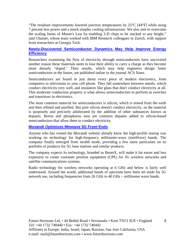"The resultant improvements lowered junction temperatures by  $25^{\circ}C$  [44 $^{\circ}F$ ] while using 7 percent less power and a much simpler cooling infrastructure. We also aim to overcome the scaling limits of Moore's Law by enabling 3-D chips to be stacked to any height," said Chainer, whose team worked with IBM Research colleagues in Zurich, with support from researchers at Georgia Tech.

#### **Newly-Discovered Semiconductor Dynamics May Help Improve Energy Efficiency**

Researchers examining the flow of electricity through semiconductors have uncovered another reason these materials seem to lose their ability to carry a charge as they become more densely "doped." Their results, which may help engineers design faster semiconductors in the future, are published online in the journal ACS Nano.

Semiconductors are found in just about every piece of modern electronics, from computers to televisions to your cell phone. They fall somewhere between metals, which conduct electricity very well, and insulators like glass that don't conduct electricity at all. This moderate conduction property is what allows semiconductors to perform as switches and transistors in electronics.

The most common material for semiconductors is silicon, which is mined from the earth and then refined and purified. But pure silicon doesn't conduct electricity, so the material is purposely and precisely adulterated by the addition of other substances known as dopants. Boron and phosphorus ions are common dopants added to silicon-based semiconductors that allow them to conduct electricity.

#### **Movandi Optimizes Mmwave 5G Front Ends**

Anyone who has visited the Movandi website already knew the high-profile startup was working on technology for high-frequency millimeter-wave (mmWave) bands. The company finally emerged from stealth mode, providing a few more particulars on its portfolio of products for 5G base stations and similar products.

The company expects its technology, branded as BeamX, will make it far easier and less expensive to create customer premise equipment (CPE) for 5G wireless networks and satellite communications systems.

Radio technology for wireless networks operating at 6 GHz and below is fairly well understood. Around the world, additional bands of spectrum have been set aside for 5G network use, including frequencies from 26 GHz to 40 GHz – millimeter wave bands.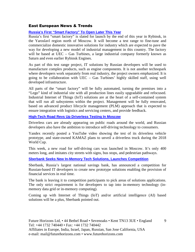#### East European News & Trends

#### **Russia's First "Smart Factory" To Open Later This Year**

Russia's first "smart factory" is slated for launch by the end of this year in Rybinsk, in the Yaroslavl region north of Moscow. It will become a test range to fine-tune and commercialize domestic innovative solutions for industry which are expected to pave the way for developing a new model of industrial management in this country. The factory will be based at UEC – Gas Turbines, a large industrial company formerly known as Saturn and even earlier Rybinsk Engines.

As part of this test range project, IT solutions by Russian developers will be used to manufacture complex products, such as engine components. It is not another technopark where developers work separately from real industry, the project owners emphasized. It is going to be collaboration with UEC – Gas Turbines' highly skilled staff, using well developed infrastructure.

All parts of the "smart factory" will be fully automated, turning the premises into a "Lego" kind of industrial site with all production lines easily upgradable and refocused. Industrial Internet of Things (IoT) solutions are at the heart of a self-contained system that will run all subsystems within the project. Management will be fully renovated, based on advanced product lifecycle management (PLM) approach that is expected to ensure integration with logistics and servicing centers, and provide feedback.

#### **High-Tech Road Revs Up Driverless Testing In Moscow**

Driverless cars are already appearing on public roads around the world, and Russian developers also have the ambition to introduce self-driving technology to consumers.

Yandex recently posted a YouTube video showing the test of its driverless vehicle prototype, and state-owned KAMAZ plans to unveil a driverless truck during the 2018 World Cup.

This week, a new road for self-driving cars was launched in Moscow. It's only 400 meters long, and imitates city streets with signs, bus stops, and pedestrian pathways.

#### **Sberbank Seeks New In-Memory Tech Solutions, Launches Competition**

Sberbank, Russia's largest national savings bank, has announced a competition for Russian-based IT developers to create new prototype solutions enabling the provision of financial services in real time.

The bank is leaving it to competition participants to pick areas of solutions applications. The only strict requirement is for developers to tap into in-memory technology (inmemory data grid or in-memory computing).

Coming up with Internet of Things (IoT) and/or artificial intelligence (AI) based solutions will be a plus, Sberbank pointed out.

9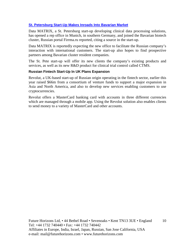#### **St. Petersburg Start-Up Makes Inroads Into Bavarian Market**

Data MATRIX, a St. Petersburg start-up developing clinical data processing solutions, has opened a rep office in Munich, in southern Germany, and joined the Bavarian biotech cluster, Russian portal Firrma.ru reported, citing a source in the start-up.

Data MATRIX is reportedly expecting the new office to facilitate the Russian company's interaction with international customers. The start-up also hopes to find prospective partners among Bavarian cluster resident companies.

The St. Pete start-up will offer its new clients the company's existing products and services, as well as its new R&D product for clinical trial control called CTMS.

#### **Russian Fintech Start-Up In UK Plans Expansion**

Revolut, a UK-based start-up of Russian origin operating in the fintech sector, earlier this year raised \$66m from a consortium of venture funds to support a major expansion in Asia and North America, and also to develop new services enabling customers to use cryptocurrencies.

Revolut offers a MasterCard banking card with accounts in three different currencies which are managed through a mobile app. Using the Revolut solution also enables clients to send money to a variety of MasterCard and other accounts.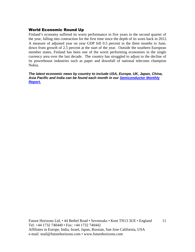#### World Economic Round Up

Finland's economy suffered its worst performance in five years in the second quarter of the year, falling into contraction for the first time since the depth of its woes back in 2012. A measure of adjusted year on year GDP fell 0.5 percent in the three months to June, down from growth of 2.5 percent at the start of the year. Outside the southern European member states, Finland has been one of the worst performing economies in the single currency area over the last decade. The country has struggled to adjust to the decline of its powerhouse industries such as paper and downfall of national telecoms champion Nokia.

**The latest economic news by country to include USA, Europe, UK, Japan, China, Asia Pacific and India can be found each month in our Semiconductor Monthly Report.**